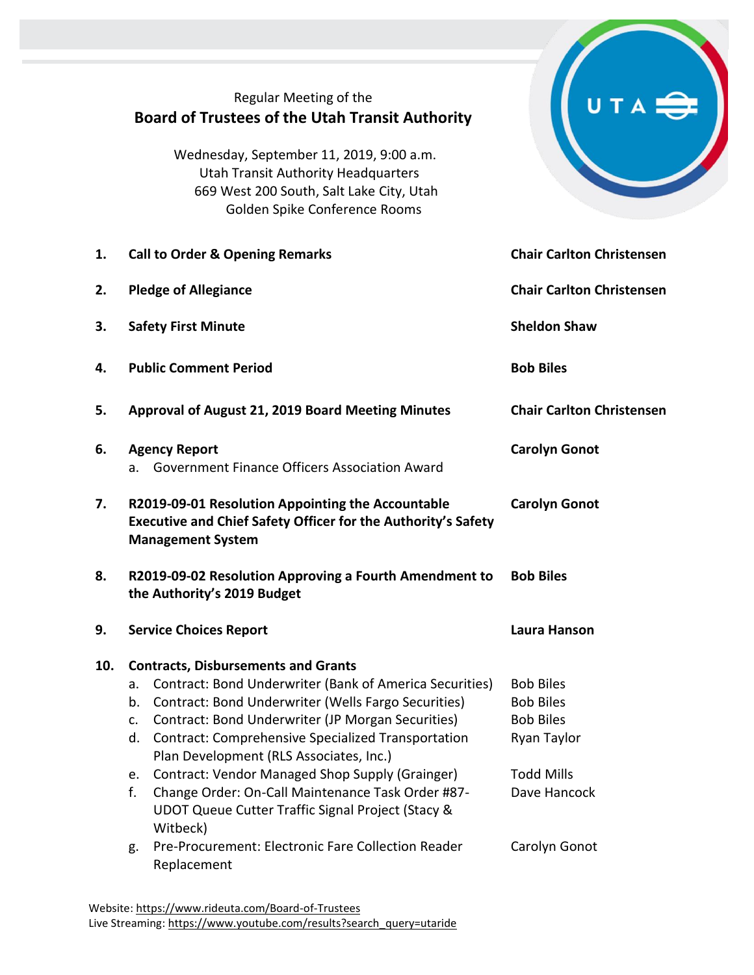|     | Regular Meeting of the<br><b>Board of Trustees of the Utah Transit Authority</b>                                                                                                                                                                                                                                                                                                                                                                                                                                                                                                                               |                                                                                                                               |  |
|-----|----------------------------------------------------------------------------------------------------------------------------------------------------------------------------------------------------------------------------------------------------------------------------------------------------------------------------------------------------------------------------------------------------------------------------------------------------------------------------------------------------------------------------------------------------------------------------------------------------------------|-------------------------------------------------------------------------------------------------------------------------------|--|
|     | Wednesday, September 11, 2019, 9:00 a.m.<br><b>Utah Transit Authority Headquarters</b><br>669 West 200 South, Salt Lake City, Utah<br>Golden Spike Conference Rooms                                                                                                                                                                                                                                                                                                                                                                                                                                            |                                                                                                                               |  |
| 1.  | <b>Call to Order &amp; Opening Remarks</b>                                                                                                                                                                                                                                                                                                                                                                                                                                                                                                                                                                     | <b>Chair Carlton Christensen</b>                                                                                              |  |
| 2.  | <b>Pledge of Allegiance</b>                                                                                                                                                                                                                                                                                                                                                                                                                                                                                                                                                                                    | <b>Chair Carlton Christensen</b>                                                                                              |  |
| 3.  | <b>Safety First Minute</b>                                                                                                                                                                                                                                                                                                                                                                                                                                                                                                                                                                                     | <b>Sheldon Shaw</b>                                                                                                           |  |
| 4.  | <b>Public Comment Period</b>                                                                                                                                                                                                                                                                                                                                                                                                                                                                                                                                                                                   | <b>Bob Biles</b>                                                                                                              |  |
| 5.  | Approval of August 21, 2019 Board Meeting Minutes                                                                                                                                                                                                                                                                                                                                                                                                                                                                                                                                                              | <b>Chair Carlton Christensen</b>                                                                                              |  |
| 6.  | <b>Agency Report</b><br>Government Finance Officers Association Award<br>a.                                                                                                                                                                                                                                                                                                                                                                                                                                                                                                                                    | <b>Carolyn Gonot</b>                                                                                                          |  |
| 7.  | R2019-09-01 Resolution Appointing the Accountable<br><b>Executive and Chief Safety Officer for the Authority's Safety</b><br><b>Management System</b>                                                                                                                                                                                                                                                                                                                                                                                                                                                          | <b>Carolyn Gonot</b>                                                                                                          |  |
| 8.  | R2019-09-02 Resolution Approving a Fourth Amendment to<br>the Authority's 2019 Budget                                                                                                                                                                                                                                                                                                                                                                                                                                                                                                                          | <b>Bob Biles</b>                                                                                                              |  |
| 9.  | <b>Service Choices Report</b>                                                                                                                                                                                                                                                                                                                                                                                                                                                                                                                                                                                  | Laura Hanson                                                                                                                  |  |
| 10. | <b>Contracts, Disbursements and Grants</b><br>Contract: Bond Underwriter (Bank of America Securities)<br>а.<br>Contract: Bond Underwriter (Wells Fargo Securities)<br>b.<br>Contract: Bond Underwriter (JP Morgan Securities)<br>$\mathsf{C}$ .<br><b>Contract: Comprehensive Specialized Transportation</b><br>d.<br>Plan Development (RLS Associates, Inc.)<br>Contract: Vendor Managed Shop Supply (Grainger)<br>e.<br>f.<br>Change Order: On-Call Maintenance Task Order #87-<br>UDOT Queue Cutter Traffic Signal Project (Stacy &<br>Witbeck)<br>Pre-Procurement: Electronic Fare Collection Reader<br>g. | <b>Bob Biles</b><br><b>Bob Biles</b><br><b>Bob Biles</b><br>Ryan Taylor<br><b>Todd Mills</b><br>Dave Hancock<br>Carolyn Gonot |  |
|     | Replacement                                                                                                                                                                                                                                                                                                                                                                                                                                                                                                                                                                                                    |                                                                                                                               |  |